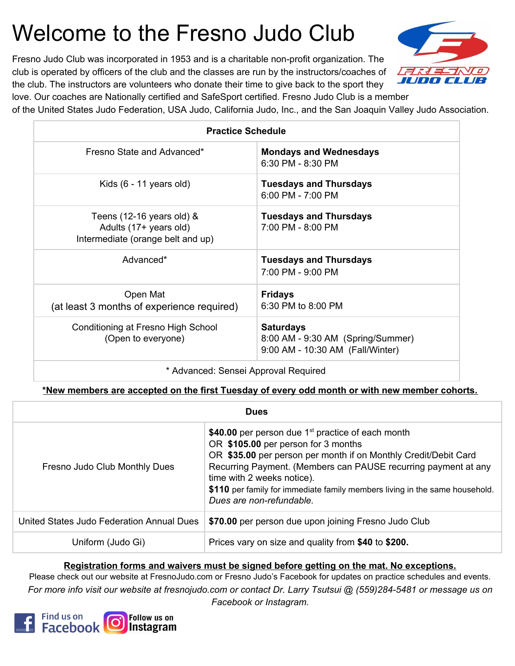# Welcome to the Fresno Judo Club

Fresno Judo Club was incorporated in 1953 and is a charitable non-profit organization. The club is operated by officers of the club and the classes are run by the instructors/coaches of the club. The instructors are volunteers who donate their time to give back to the sport they

LE RIEL I IUDO GLUB

love. Our coaches are Nationally certified and SafeSport certified. Fresno Judo Club is a member

of the United States Judo Federation, USA Judo, California Judo, Inc., and the San Joaquin Valley Judo Association.

| <b>Practice Schedule</b>                                                                      |                                                                                           |  |  |  |
|-----------------------------------------------------------------------------------------------|-------------------------------------------------------------------------------------------|--|--|--|
| Fresno State and Advanced*                                                                    | <b>Mondays and Wednesdays</b><br>6:30 PM - 8:30 PM                                        |  |  |  |
| Kids $(6 - 11$ years old)                                                                     | <b>Tuesdays and Thursdays</b><br>$6:00$ PM - 7:00 PM                                      |  |  |  |
| Teens $(12-16$ years old) $\&$<br>Adults (17+ years old)<br>Intermediate (orange belt and up) | <b>Tuesdays and Thursdays</b><br>7:00 PM - 8:00 PM                                        |  |  |  |
| Advanced*                                                                                     | <b>Tuesdays and Thursdays</b><br>7:00 PM - 9:00 PM                                        |  |  |  |
| Open Mat<br>(at least 3 months of experience required)                                        | <b>Fridays</b><br>6:30 PM to 8:00 PM                                                      |  |  |  |
| Conditioning at Fresno High School<br>(Open to everyone)                                      | <b>Saturdays</b><br>8:00 AM - 9:30 AM (Spring/Summer)<br>9:00 AM - 10:30 AM (Fall/Winter) |  |  |  |
|                                                                                               |                                                                                           |  |  |  |

\* Advanced: Sensei Approval Required

**\*New members are accepted on the first Tuesday of every odd month or with new member cohorts.**

| <b>Dues</b>                               |                                                                                                                                                                                                                                                                                                                                                                                    |  |  |
|-------------------------------------------|------------------------------------------------------------------------------------------------------------------------------------------------------------------------------------------------------------------------------------------------------------------------------------------------------------------------------------------------------------------------------------|--|--|
| Fresno Judo Club Monthly Dues             | \$40.00 per person due 1 <sup>st</sup> practice of each month<br>OR \$105.00 per person for 3 months<br>OR \$35.00 per person per month if on Monthly Credit/Debit Card<br>Recurring Payment. (Members can PAUSE recurring payment at any<br>time with 2 weeks notice).<br>\$110 per family for immediate family members living in the same household.<br>Dues are non-refundable. |  |  |
| United States Judo Federation Annual Dues | \$70.00 per person due upon joining Fresno Judo Club                                                                                                                                                                                                                                                                                                                               |  |  |
| Uniform (Judo Gi)                         | Prices vary on size and quality from \$40 to \$200.                                                                                                                                                                                                                                                                                                                                |  |  |

#### **Registration forms and waivers must be signed before getting on the mat. No exceptions.**

Please check out our website at FresnoJudo.com or Fresno Judo's Facebook for updates on practice schedules and events. For more info visit our website at fresnojudo.com or contact Dr. Larry Tsutsui @ (559)284-5481 or message us on *Facebook or Instagram.*

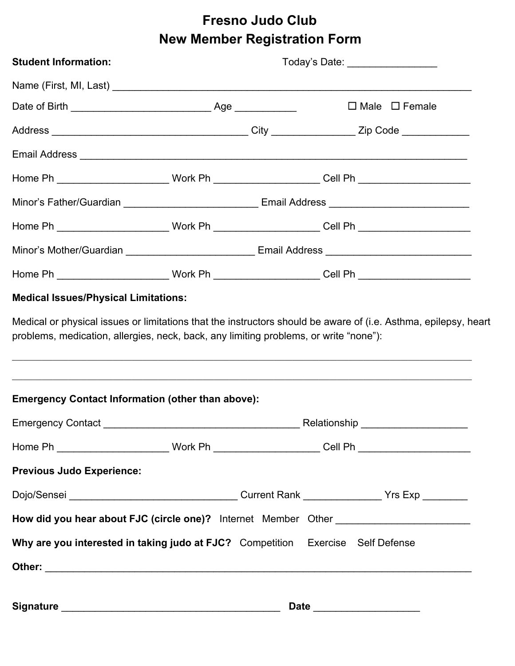## **Fresno Judo Club New Member Registration Form**

| <b>Student Information:</b>                                                                                                                                                                                                          |                                                                                                      | Today's Date: __________________ |                                                                                                      |                              |  |  |
|--------------------------------------------------------------------------------------------------------------------------------------------------------------------------------------------------------------------------------------|------------------------------------------------------------------------------------------------------|----------------------------------|------------------------------------------------------------------------------------------------------|------------------------------|--|--|
|                                                                                                                                                                                                                                      |                                                                                                      |                                  |                                                                                                      |                              |  |  |
|                                                                                                                                                                                                                                      |                                                                                                      |                                  |                                                                                                      | $\Box$ Male $\Box$ Female    |  |  |
|                                                                                                                                                                                                                                      |                                                                                                      |                                  |                                                                                                      |                              |  |  |
| Email Address <b>contract and a series of the contract of the contract of the contract of the contract of the contract of the contract of the contract of the contract of the contract of the contract of the contract of the co</b> |                                                                                                      |                                  |                                                                                                      |                              |  |  |
|                                                                                                                                                                                                                                      |                                                                                                      |                                  |                                                                                                      |                              |  |  |
|                                                                                                                                                                                                                                      |                                                                                                      |                                  |                                                                                                      |                              |  |  |
|                                                                                                                                                                                                                                      |                                                                                                      |                                  | Home Ph _______________________________Work Ph _______________________Cell Ph ______________________ |                              |  |  |
|                                                                                                                                                                                                                                      | Minor's Mother/Guardian __________________________________Email Address ____________________________ |                                  |                                                                                                      |                              |  |  |
| Home Ph _______________________________Work Ph ________________________Cell Ph _____________________                                                                                                                                 |                                                                                                      |                                  |                                                                                                      |                              |  |  |
| <b>Medical Issues/Physical Limitations:</b>                                                                                                                                                                                          |                                                                                                      |                                  |                                                                                                      |                              |  |  |
| <b>Emergency Contact Information (other than above):</b>                                                                                                                                                                             |                                                                                                      |                                  |                                                                                                      |                              |  |  |
|                                                                                                                                                                                                                                      |                                                                                                      |                                  |                                                                                                      |                              |  |  |
| Home Ph _______________________________Work Ph _______________________Cell Ph ______________________                                                                                                                                 |                                                                                                      |                                  |                                                                                                      |                              |  |  |
| <b>Previous Judo Experience:</b>                                                                                                                                                                                                     |                                                                                                      |                                  |                                                                                                      |                              |  |  |
|                                                                                                                                                                                                                                      |                                                                                                      |                                  |                                                                                                      |                              |  |  |
| How did you hear about FJC (circle one)? Internet Member Other __________________                                                                                                                                                    |                                                                                                      |                                  |                                                                                                      |                              |  |  |
| Why are you interested in taking judo at FJC? Competition Exercise Self Defense                                                                                                                                                      |                                                                                                      |                                  |                                                                                                      |                              |  |  |
|                                                                                                                                                                                                                                      |                                                                                                      |                                  |                                                                                                      |                              |  |  |
|                                                                                                                                                                                                                                      |                                                                                                      |                                  |                                                                                                      | Date _______________________ |  |  |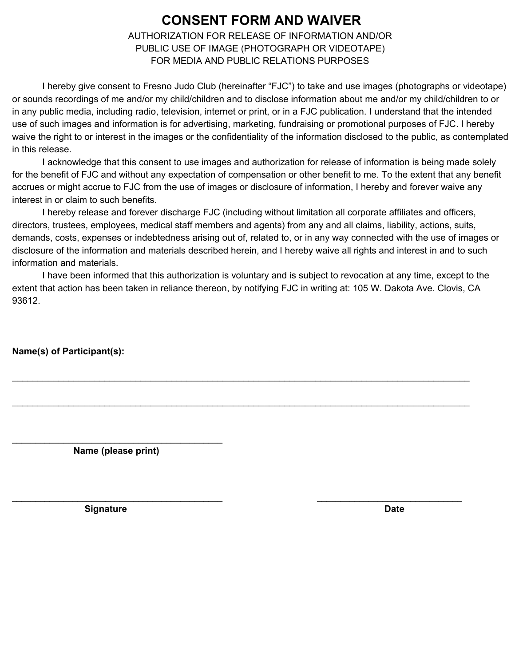### **CONSENT FORM AND WAIVER**

AUTHORIZATION FOR RELEASE OF INFORMATION AND/OR PUBLIC USE OF IMAGE (PHOTOGRAPH OR VIDEOTAPE) FOR MEDIA AND PUBLIC RELATIONS PURPOSES

I hereby give consent to Fresno Judo Club (hereinafter "FJC") to take and use images (photographs or videotape) or sounds recordings of me and/or my child/children and to disclose information about me and/or my child/children to or in any public media, including radio, television, internet or print, or in a FJC publication. I understand that the intended use of such images and information is for advertising, marketing, fundraising or promotional purposes of FJC. I hereby waive the right to or interest in the images or the confidentiality of the information disclosed to the public, as contemplated in this release.

I acknowledge that this consent to use images and authorization for release of information is being made solely for the benefit of FJC and without any expectation of compensation or other benefit to me. To the extent that any benefit accrues or might accrue to FJC from the use of images or disclosure of information, I hereby and forever waive any interest in or claim to such benefits.

I hereby release and forever discharge FJC (including without limitation all corporate affiliates and officers, directors, trustees, employees, medical staff members and agents) from any and all claims, liability, actions, suits, demands, costs, expenses or indebtedness arising out of, related to, or in any way connected with the use of images or disclosure of the information and materials described herein, and I hereby waive all rights and interest in and to such information and materials.

I have been informed that this authorization is voluntary and is subject to revocation at any time, except to the extent that action has been taken in reliance thereon, by notifying FJC in writing at: 105 W. Dakota Ave. Clovis, CA 93612.

\_\_\_\_\_\_\_\_\_\_\_\_\_\_\_\_\_\_\_\_\_\_\_\_\_\_\_\_\_\_\_\_\_\_\_\_\_\_\_\_\_\_\_\_\_\_\_\_\_\_\_\_\_\_\_\_\_\_\_\_\_\_\_\_\_\_\_\_\_\_\_\_\_\_\_\_\_\_\_\_\_\_\_\_\_\_\_\_\_

\_\_\_\_\_\_\_\_\_\_\_\_\_\_\_\_\_\_\_\_\_\_\_\_\_\_\_\_\_\_\_\_\_\_\_\_\_\_\_\_\_\_\_\_\_\_\_\_\_\_\_\_\_\_\_\_\_\_\_\_\_\_\_\_\_\_\_\_\_\_\_\_\_\_\_\_\_\_\_\_\_\_\_\_\_\_\_\_\_

 $\_$  , and the set of the set of the set of the set of the set of the set of the set of the set of the set of the set of the set of the set of the set of the set of the set of the set of the set of the set of the set of th

**Name(s) of Participant(s):**

\_\_\_\_\_\_\_\_\_\_\_\_\_\_\_\_\_\_\_\_\_\_\_\_\_\_\_\_\_\_\_\_\_\_\_\_\_\_\_\_\_\_\_\_\_ **Name (please print)**

**Signature Date**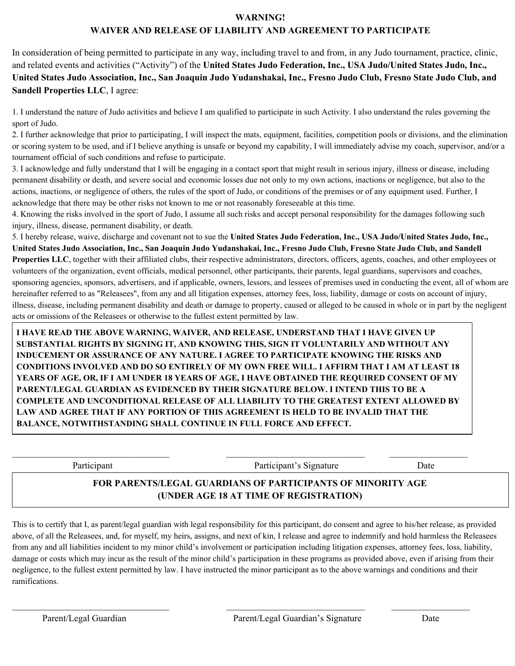#### **WARNING!**

#### **WAIVER AND RELEASE OF LIABILITY AND AGREEMENT TO PARTICIPATE**

In consideration of being permitted to participate in any way, including travel to and from, in any Judo tournament, practice, clinic, and related events and activities ("Activity") of the **United States Judo Federation, Inc., USA Judo/United States Judo, Inc.,** United States Judo Association, Inc., San Joaquin Judo Yudanshakai, Inc., Fresno Judo Club, Fresno State Judo Club, and **Sandell Properties LLC**, I agree:

1. I understand the nature of Judo activities and believe I am qualified to participate in such Activity. I also understand the rules governing the sport of Judo.

2. I further acknowledge that prior to participating, I will inspect the mats, equipment, facilities, competition pools or divisions, and the elimination or scoring system to be used, and if I believe anything is unsafe or beyond my capability, I will immediately advise my coach, supervisor, and/or a tournament official of such conditions and refuse to participate.

3. I acknowledge and fully understand that I will be engaging in a contact sport that might result in serious injury, illness or disease, including permanent disability or death, and severe social and economic losses due not only to my own actions, inactions or negligence, but also to the actions, inactions, or negligence of others, the rules of the sport of Judo, or conditions of the premises or of any equipment used. Further, I acknowledge that there may be other risks not known to me or not reasonably foreseeable at this time.

4. Knowing the risks involved in the sport of Judo, I assume all such risks and accept personal responsibility for the damages following such injury, illness, disease, permanent disability, or death.

5. I hereby release, waive, discharge and covenant not to sue the **United States Judo Federation, Inc., USA Judo/United States Judo, Inc.,** United States Judo Association, Inc., San Joaquin Judo Yudanshakai, Inc., Fresno Judo Club, Fresno State Judo Club, and Sandell **Properties LLC**, together with their affiliated clubs, their respective administrators, directors, officers, agents, coaches, and other employees or volunteers of the organization, event officials, medical personnel, other participants, their parents, legal guardians, supervisors and coaches, sponsoring agencies, sponsors, advertisers, and if applicable, owners, lessors, and lessees of premises used in conducting the event, all of whom are hereinafter referred to as "Releasees", from any and all litigation expenses, attorney fees, loss, liability, damage or costs on account of injury, illness, disease, including permanent disability and death or damage to property, caused or alleged to be caused in whole or in part by the negligent acts or omissions of the Releasees or otherwise to the fullest extent permitted by law.

**I HAVE READ THE ABOVE WARNING, WAIVER, AND RELEASE, UNDERSTAND THAT I HAVE GIVEN UP SUBSTANTIAL RIGHTS BY SIGNING IT, AND KNOWING THIS, SIGN IT VOLUNTARILY AND WITHOUT ANY INDUCEMENT OR ASSURANCE OF ANY NATURE. I AGREE TO PARTICIPATE KNOWING THE RISKS AND CONDITIONS INVOLVED AND DO SO ENTIRELY OF MY OWN FREE WILL. I AFFIRM THAT I AM AT LEAST 18** YEARS OF AGE, OR, IF I AM UNDER 18 YEARS OF AGE, I HAVE OBTAINED THE REQUIRED CONSENT OF MY **PARENT/LEGAL GUARDIAN AS EVIDENCED BY THEIR SIGNATURE BELOW. I INTEND THIS TO BE A COMPLETE AND UNCONDITIONAL RELEASE OF ALL LIABILITY TO THE GREATEST EXTENT ALLOWED BY LAW AND AGREE THAT IF ANY PORTION OF THIS AGREEMENT IS HELD TO BE INVALID THAT THE BALANCE, NOTWITHSTANDING SHALL CONTINUE IN FULL FORCE AND EFFECT.**

 $\mathcal{L}_\mathcal{L} = \{ \mathcal{L}_\mathcal{L} = \{ \mathcal{L}_\mathcal{L} = \{ \mathcal{L}_\mathcal{L} = \{ \mathcal{L}_\mathcal{L} = \{ \mathcal{L}_\mathcal{L} = \{ \mathcal{L}_\mathcal{L} = \{ \mathcal{L}_\mathcal{L} = \{ \mathcal{L}_\mathcal{L} = \{ \mathcal{L}_\mathcal{L} = \{ \mathcal{L}_\mathcal{L} = \{ \mathcal{L}_\mathcal{L} = \{ \mathcal{L}_\mathcal{L} = \{ \mathcal{L}_\mathcal{L} = \{ \mathcal{L}_\mathcal{$ 

Participant Participant's Signature Date Date

#### **FOR PARENTS/LEGAL GUARDIANS OF PARTICIPANTS OF MINORITY AGE (UNDER AGE 18 AT TIME OF REGISTRATION)**

This is to certify that I, as parent/legal guardian with legal responsibility for this participant, do consent and agree to his/her release, as provided above, of all the Releasees, and, for myself, my heirs, assigns, and next of kin, I release and agree to indemnify and hold harmless the Releasees from any and all liabilities incident to my minor child's involvement or participation including litigation expenses, attorney fees, loss, liability, damage or costs which may incur as the result of the minor child's participation in these programs as provided above, even if arising from their negligence, to the fullest extent permitted by law. I have instructed the minor participant as to the above warnings and conditions and their ramifications.

 $\mathcal{L}_\mathcal{L} = \{ \mathcal{L}_\mathcal{L} = \{ \mathcal{L}_\mathcal{L} = \{ \mathcal{L}_\mathcal{L} = \{ \mathcal{L}_\mathcal{L} = \{ \mathcal{L}_\mathcal{L} = \{ \mathcal{L}_\mathcal{L} = \{ \mathcal{L}_\mathcal{L} = \{ \mathcal{L}_\mathcal{L} = \{ \mathcal{L}_\mathcal{L} = \{ \mathcal{L}_\mathcal{L} = \{ \mathcal{L}_\mathcal{L} = \{ \mathcal{L}_\mathcal{L} = \{ \mathcal{L}_\mathcal{L} = \{ \mathcal{L}_\mathcal{$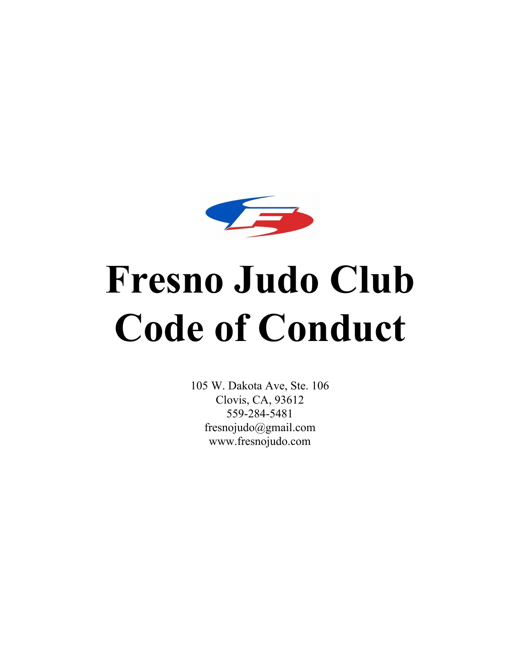

# **Fresno Judo Club Code of Conduct**

105 W. Dakota Ave, Ste. 106 Clovis, CA, 93612 559-284-5481 fresnojudo@gmail.com www.fresnojudo.com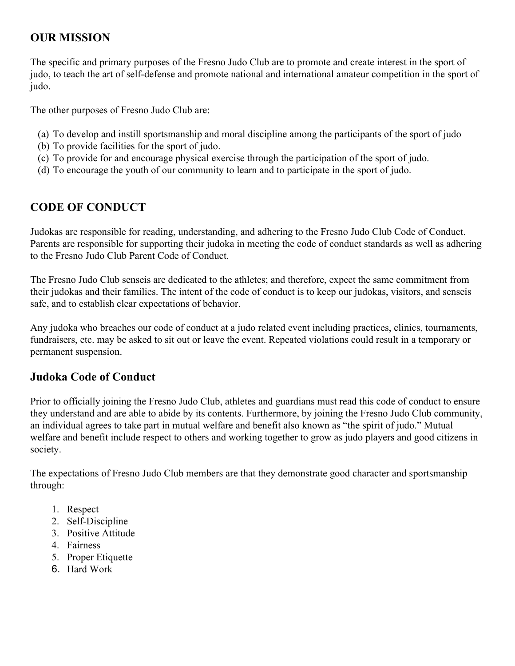#### **OUR MISSION**

The specific and primary purposes of the Fresno Judo Club are to promote and create interest in the sport of judo, to teach the art of self-defense and promote national and international amateur competition in the sport of judo.

The other purposes of Fresno Judo Club are:

- (a) To develop and instill sportsmanship and moral discipline among the participants of the sport of judo
- (b) To provide facilities for the sport of judo.
- (c) To provide for and encourage physical exercise through the participation of the sport of judo.
- (d) To encourage the youth of our community to learn and to participate in the sport of judo.

#### **CODE OF CONDUCT**

Judokas are responsible for reading, understanding, and adhering to the Fresno Judo Club Code of Conduct. Parents are responsible for supporting their judoka in meeting the code of conduct standards as well as adhering to the Fresno Judo Club Parent Code of Conduct.

The Fresno Judo Club senseis are dedicated to the athletes; and therefore, expect the same commitment from their judokas and their families. The intent of the code of conduct is to keep our judokas, visitors, and senseis safe, and to establish clear expectations of behavior.

Any judoka who breaches our code of conduct at a judo related event including practices, clinics, tournaments, fundraisers, etc. may be asked to sit out or leave the event. Repeated violations could result in a temporary or permanent suspension.

#### **Judoka Code of Conduct**

Prior to officially joining the Fresno Judo Club, athletes and guardians must read this code of conduct to ensure they understand and are able to abide by its contents. Furthermore, by joining the Fresno Judo Club community, an individual agrees to take part in mutual welfare and benefit also known as "the spirit of judo." Mutual welfare and benefit include respect to others and working together to grow as judo players and good citizens in society.

The expectations of Fresno Judo Club members are that they demonstrate good character and sportsmanship through:

- 1. Respect
- 2. Self-Discipline
- 3. Positive Attitude
- 4. Fairness
- 5. Proper Etiquette
- 6. Hard Work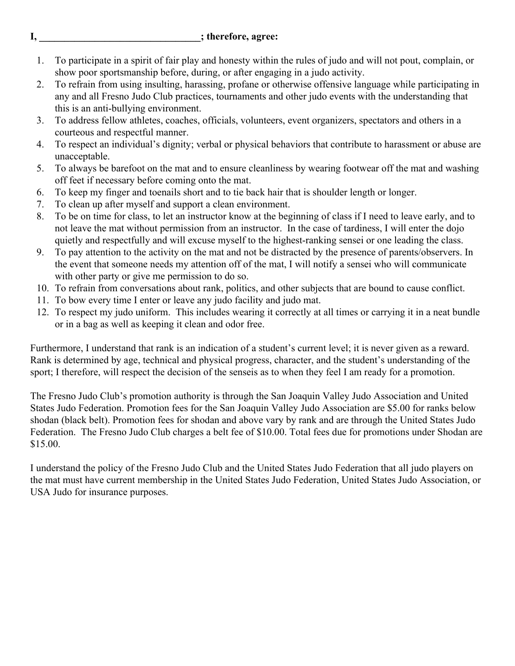**I,**  $\qquad \qquad$  ; therefore, agree:

- 1. To participate in a spirit of fair play and honesty within the rules of judo and will not pout, complain, or show poor sportsmanship before, during, or after engaging in a judo activity.
- 2. To refrain from using insulting, harassing, profane or otherwise offensive language while participating in any and all Fresno Judo Club practices, tournaments and other judo events with the understanding that this is an anti-bullying environment.
- 3. To address fellow athletes, coaches, officials, volunteers, event organizers, spectators and others in a courteous and respectful manner.
- 4. To respect an individual's dignity; verbal or physical behaviors that contribute to harassment or abuse are unacceptable.
- 5. To always be barefoot on the mat and to ensure cleanliness by wearing footwear off the mat and washing off feet if necessary before coming onto the mat.
- 6. To keep my finger and toenails short and to tie back hair that is shoulder length or longer.
- 7. To clean up after myself and support a clean environment.
- 8. To be on time for class, to let an instructor know at the beginning of class if I need to leave early, and to not leave the mat without permission from an instructor. In the case of tardiness, I will enter the dojo quietly and respectfully and will excuse myself to the highest-ranking sensei or one leading the class.
- 9. To pay attention to the activity on the mat and not be distracted by the presence of parents/observers. In the event that someone needs my attention off of the mat, I will notify a sensei who will communicate with other party or give me permission to do so.
- 10. To refrain from conversations about rank, politics, and other subjects that are bound to cause conflict.
- 11. To bow every time I enter or leave any judo facility and judo mat.
- 12. To respect my judo uniform. This includes wearing it correctly at all times or carrying it in a neat bundle or in a bag as well as keeping it clean and odor free.

Furthermore, I understand that rank is an indication of a student's current level; it is never given as a reward. Rank is determined by age, technical and physical progress, character, and the student's understanding of the sport; I therefore, will respect the decision of the senseis as to when they feel I am ready for a promotion.

The Fresno Judo Club's promotion authority is through the San Joaquin Valley Judo Association and United States Judo Federation. Promotion fees for the San Joaquin Valley Judo Association are \$5.00 for ranks below shodan (black belt). Promotion fees for shodan and above vary by rank and are through the United States Judo Federation. The Fresno Judo Club charges a belt fee of \$10.00. Total fees due for promotions under Shodan are \$15.00.

I understand the policy of the Fresno Judo Club and the United States Judo Federation that all judo players on the mat must have current membership in the United States Judo Federation, United States Judo Association, or USA Judo for insurance purposes.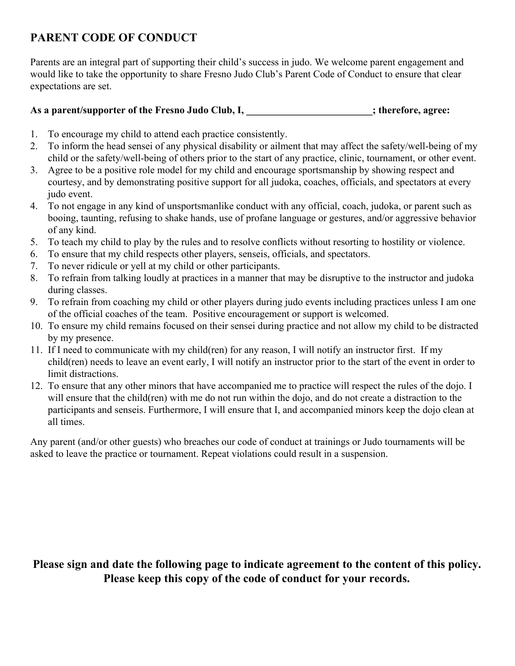#### **PARENT CODE OF CONDUCT**

Parents are an integral part of supporting their child's success in judo. We welcome parent engagement and would like to take the opportunity to share Fresno Judo Club's Parent Code of Conduct to ensure that clear expectations are set.

#### **As a parent/supporter of the Fresno Judo Club, I, \_\_\_\_\_\_\_\_\_\_\_\_\_\_\_\_\_\_\_\_\_\_\_\_\_; therefore, agree:**

- 1. To encourage my child to attend each practice consistently.
- 2. To inform the head sensei of any physical disability or ailment that may affect the safety/well-being of my child or the safety/well-being of others prior to the start of any practice, clinic, tournament, or other event.
- 3. Agree to be a positive role model for my child and encourage sportsmanship by showing respect and courtesy, and by demonstrating positive support for all judoka, coaches, officials, and spectators at every judo event.
- 4. To not engage in any kind of unsportsmanlike conduct with any official, coach, judoka, or parent such as booing, taunting, refusing to shake hands, use of profane language or gestures, and/or aggressive behavior of any kind.
- 5. To teach my child to play by the rules and to resolve conflicts without resorting to hostility or violence.
- 6. To ensure that my child respects other players, senseis, officials, and spectators.
- 7. To never ridicule or yell at my child or other participants.
- 8. To refrain from talking loudly at practices in a manner that may be disruptive to the instructor and judoka during classes.
- 9. To refrain from coaching my child or other players during judo events including practices unless I am one of the official coaches of the team. Positive encouragement or support is welcomed.
- 10. To ensure my child remains focused on their sensei during practice and not allow my child to be distracted by my presence.
- 11. If I need to communicate with my child(ren) for any reason, I will notify an instructor first. If my child(ren) needs to leave an event early, I will notify an instructor prior to the start of the event in order to limit distractions.
- 12. To ensure that any other minors that have accompanied me to practice will respect the rules of the dojo. I will ensure that the child(ren) with me do not run within the dojo, and do not create a distraction to the participants and senseis. Furthermore, I will ensure that I, and accompanied minors keep the dojo clean at all times.

Any parent (and/or other guests) who breaches our code of conduct at trainings or Judo tournaments will be asked to leave the practice or tournament. Repeat violations could result in a suspension.

#### **Please sign and date the following page to indicate agreement to the content of this policy. Please keep this copy of the code of conduct for your records.**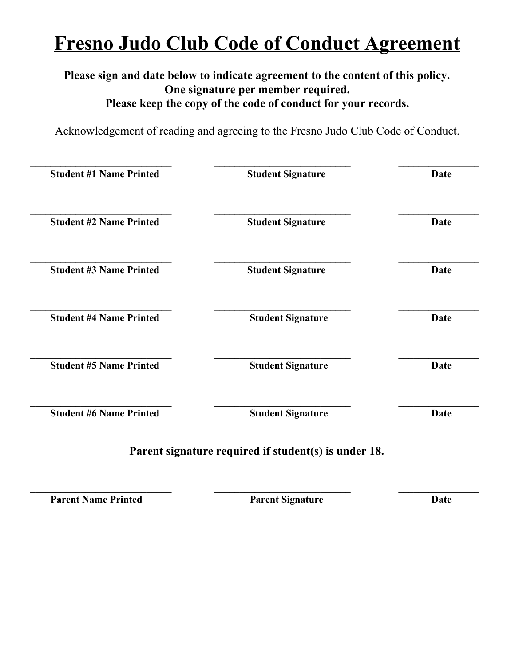## **Fresno Judo Club Code of Conduct Agreement**

#### **Please sign and date below to indicate agreement to the content of this policy. One signature per member required. Please keep the copy of the code of conduct for your records.**

Acknowledgement of reading and agreeing to the Fresno Judo Club Code of Conduct.

| <b>Student #1 Name Printed</b> | <b>Student Signature</b>                             | Date        |
|--------------------------------|------------------------------------------------------|-------------|
| <b>Student #2 Name Printed</b> | <b>Student Signature</b>                             | <b>Date</b> |
| <b>Student #3 Name Printed</b> | <b>Student Signature</b>                             | <b>Date</b> |
| <b>Student #4 Name Printed</b> | <b>Student Signature</b>                             | <b>Date</b> |
| <b>Student #5 Name Printed</b> | <b>Student Signature</b>                             | <b>Date</b> |
| <b>Student #6 Name Printed</b> | <b>Student Signature</b>                             | Date        |
|                                | Parent signature required if student(s) is under 18. |             |

**Parent Name Printed Parent Signature Date** 

**\_\_\_\_\_\_\_\_\_\_\_\_\_\_\_\_\_\_\_\_\_\_\_\_\_\_\_\_ \_\_\_\_\_\_\_\_\_\_\_\_\_\_\_\_\_\_\_\_\_\_\_\_\_\_\_ \_\_\_\_\_\_\_\_\_\_\_\_\_\_\_\_**